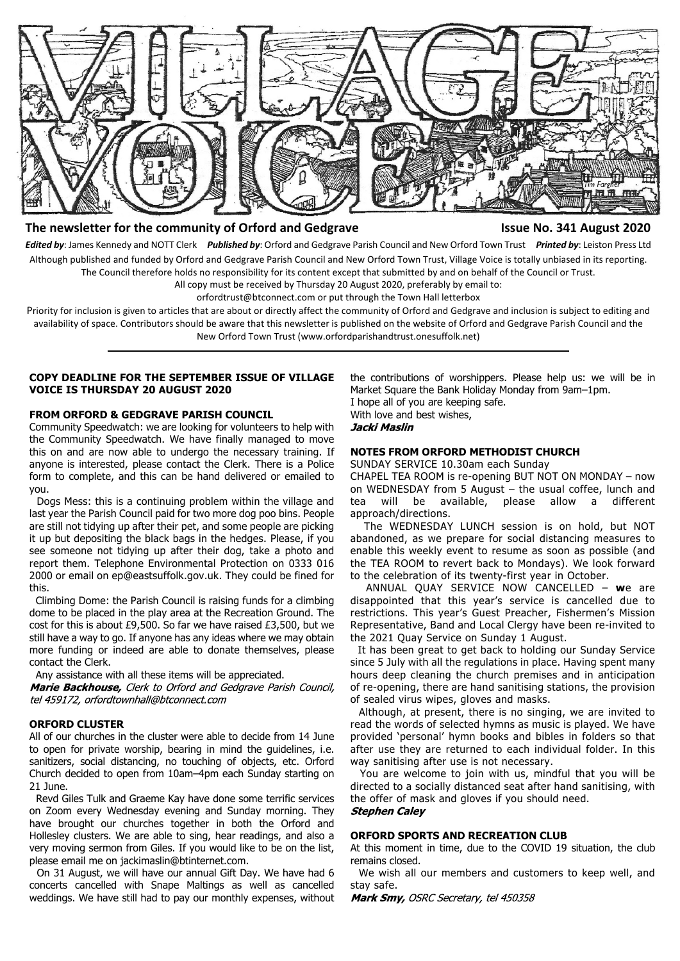

## **The newsletter for the community of Orford and Gedgrave Issue No. 341 August 2020**

*Edited by*: James Kennedy and NOTT Clerk *Published by*: Orford and Gedgrave Parish Council and New Orford Town Trust *Printed by*: Leiston Press Ltd Although published and funded by Orford and Gedgrave Parish Council and New Orford Town Trust, Village Voice is totally unbiased in its reporting. The Council therefore holds no responsibility for its content except that submitted by and on behalf of the Council or Trust.

All copy must be received by Thursday 20 August 2020, preferably by email to:

orfordtrust@btconnect.com or put through the Town Hall letterbox

Priority for inclusion is given to articles that are about or directly affect the community of Orford and Gedgrave and inclusion is subject to editing and availability of space. Contributors should be aware that this newsletter is published on the website of Orford and Gedgrave Parish Council and the New Orford Town Trust (www.orfordparishandtrust.onesuffolk.net)

#### **COPY DEADLINE FOR THE SEPTEMBER ISSUE OF VILLAGE VOICE IS THURSDAY 20 AUGUST 2020**

#### **FROM ORFORD & GEDGRAVE PARISH COUNCIL**

Community Speedwatch: we are looking for volunteers to help with the Community Speedwatch. We have finally managed to move this on and are now able to undergo the necessary training. If anyone is interested, please contact the Clerk. There is a Police form to complete, and this can be hand delivered or emailed to you.

 Dogs Mess: this is a continuing problem within the village and last year the Parish Council paid for two more dog poo bins. People are still not tidying up after their pet, and some people are picking it up but depositing the black bags in the hedges. Please, if you see someone not tidying up after their dog, take a photo and report them. Telephone Environmental Protection on 0333 016 2000 or email on ep@eastsuffolk.gov.uk. They could be fined for this.

 Climbing Dome: the Parish Council is raising funds for a climbing dome to be placed in the play area at the Recreation Ground. The cost for this is about £9,500. So far we have raised £3,500, but we still have a way to go. If anyone has any ideas where we may obtain more funding or indeed are able to donate themselves, please contact the Clerk.

Any assistance with all these items will be appreciated.

Marie Backhouse, Clerk to Orford and Gedgrave Parish Council, tel 459172, orfordtownhall@btconnect.com

#### **ORFORD CLUSTER**

All of our churches in the cluster were able to decide from 14 June to open for private worship, bearing in mind the guidelines, i.e. sanitizers, social distancing, no touching of objects, etc. Orford Church decided to open from 10am–4pm each Sunday starting on 21 June.

 Revd Giles Tulk and Graeme Kay have done some terrific services on Zoom every Wednesday evening and Sunday morning. They have brought our churches together in both the Orford and Hollesley clusters. We are able to sing, hear readings, and also a very moving sermon from Giles. If you would like to be on the list, please email me on jackimaslin@btinternet.com.

 On 31 August, we will have our annual Gift Day. We have had 6 concerts cancelled with Snape Maltings as well as cancelled weddings. We have still had to pay our monthly expenses, without the contributions of worshippers. Please help us: we will be in Market Square the Bank Holiday Monday from 9am–1pm.

I hope all of you are keeping safe. With love and best wishes, Jacki Maslin

#### **NOTES FROM ORFORD METHODIST CHURCH**

SUNDAY SERVICE 10.30am each Sunday

CHAPEL TEA ROOM is re-opening BUT NOT ON MONDAY – now on WEDNESDAY from 5 August – the usual coffee, lunch and tea will be available, please allow a different approach/directions.

 The WEDNESDAY LUNCH session is on hold, but NOT abandoned, as we prepare for social distancing measures to enable this weekly event to resume as soon as possible (and the TEA ROOM to revert back to Mondays). We look forward to the celebration of its twenty-first year in October.

 ANNUAL QUAY SERVICE NOW CANCELLED – **w**e are disappointed that this year's service is cancelled due to restrictions. This year's Guest Preacher, Fishermen's Mission Representative, Band and Local Clergy have been re-invited to the 2021 Quay Service on Sunday 1 August.

 It has been great to get back to holding our Sunday Service since 5 July with all the regulations in place. Having spent many hours deep cleaning the church premises and in anticipation of re-opening, there are hand sanitising stations, the provision of sealed virus wipes, gloves and masks.

 Although, at present, there is no singing, we are invited to read the words of selected hymns as music is played. We have provided 'personal' hymn books and bibles in folders so that after use they are returned to each individual folder. In this way sanitising after use is not necessary.

 You are welcome to join with us, mindful that you will be directed to a socially distanced seat after hand sanitising, with the offer of mask and gloves if you should need. **Stephen Caley** 

#### **ORFORD SPORTS AND RECREATION CLUB**

At this moment in time, due to the COVID 19 situation, the club remains closed.

 We wish all our members and customers to keep well, and stay safe.

Mark Smy, OSRC Secretary, tel 450358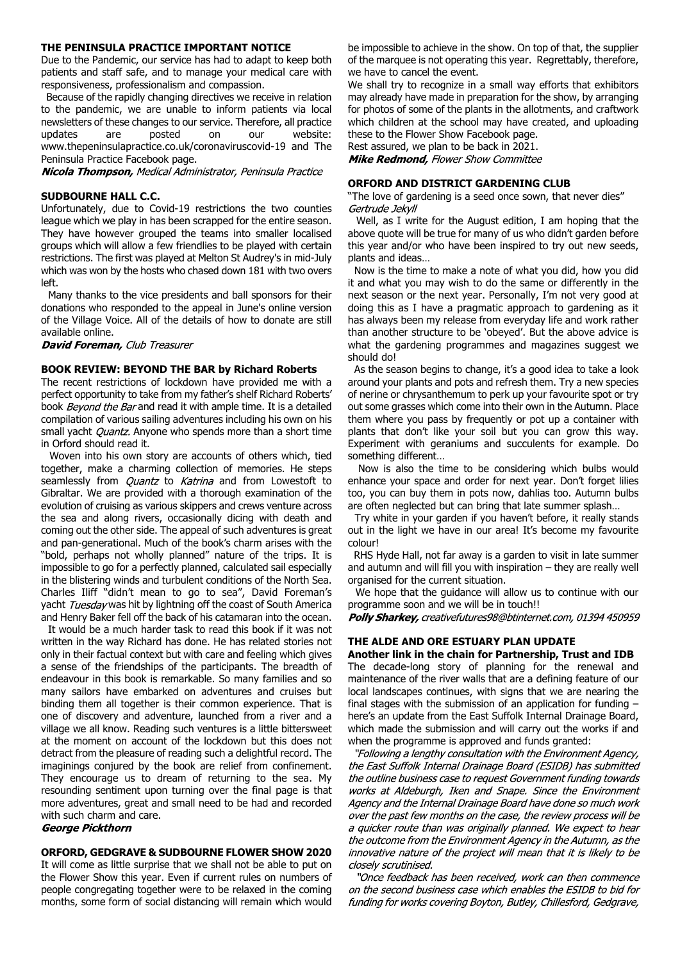#### **THE PENINSULA PRACTICE IMPORTANT NOTICE**

Due to the Pandemic, our service has had to adapt to keep both patients and staff safe, and to manage your medical care with responsiveness, professionalism and compassion.

 Because of the rapidly changing directives we receive in relation to the pandemic, we are unable to inform patients via local newsletters of these changes to our service. Therefore, all practice updates are posted on our website: www.thepeninsulapractice.co.uk/coronaviruscovid-19 and The Peninsula Practice Facebook page.

**Nicola Thompson, Medical Administrator, Peninsula Practice** 

#### **SUDBOURNE HALL C.C.**

Unfortunately, due to Covid-19 restrictions the two counties league which we play in has been scrapped for the entire season. They have however grouped the teams into smaller localised groups which will allow a few friendlies to be played with certain restrictions. The first was played at Melton St Audrey's in mid-July which was won by the hosts who chased down 181 with two overs left.

 Many thanks to the vice presidents and ball sponsors for their donations who responded to the appeal in June's online version of the Village Voice. All of the details of how to donate are still available online.

**David Foreman, Club Treasurer** 

### **BOOK REVIEW: BEYOND THE BAR by Richard Roberts**

The recent restrictions of lockdown have provided me with a perfect opportunity to take from my father's shelf Richard Roberts' book Beyond the Bar and read it with ample time. It is a detailed compilation of various sailing adventures including his own on his small yacht *Quantz*. Anyone who spends more than a short time in Orford should read it.

 Woven into his own story are accounts of others which, tied together, make a charming collection of memories. He steps seamlessly from *Quantz* to Katrina and from Lowestoft to Gibraltar. We are provided with a thorough examination of the evolution of cruising as various skippers and crews venture across the sea and along rivers, occasionally dicing with death and coming out the other side. The appeal of such adventures is great and pan-generational. Much of the book's charm arises with the "bold, perhaps not wholly planned" nature of the trips. It is impossible to go for a perfectly planned, calculated sail especially in the blistering winds and turbulent conditions of the North Sea. Charles Iliff "didn't mean to go to sea", David Foreman's yacht Tuesday was hit by lightning off the coast of South America and Henry Baker fell off the back of his catamaran into the ocean.

 It would be a much harder task to read this book if it was not written in the way Richard has done. He has related stories not only in their factual context but with care and feeling which gives a sense of the friendships of the participants. The breadth of endeavour in this book is remarkable. So many families and so many sailors have embarked on adventures and cruises but binding them all together is their common experience. That is one of discovery and adventure, launched from a river and a village we all know. Reading such ventures is a little bittersweet at the moment on account of the lockdown but this does not detract from the pleasure of reading such a delightful record. The imaginings conjured by the book are relief from confinement. They encourage us to dream of returning to the sea. My resounding sentiment upon turning over the final page is that more adventures, great and small need to be had and recorded with such charm and care.

#### **George Pickthorn**

#### **ORFORD, GEDGRAVE & SUDBOURNE FLOWER SHOW 2020**

It will come as little surprise that we shall not be able to put on the Flower Show this year. Even if current rules on numbers of people congregating together were to be relaxed in the coming months, some form of social distancing will remain which would

be impossible to achieve in the show. On top of that, the supplier of the marquee is not operating this year. Regrettably, therefore, we have to cancel the event.

We shall try to recognize in a small way efforts that exhibitors may already have made in preparation for the show, by arranging for photos of some of the plants in the allotments, and craftwork which children at the school may have created, and uploading these to the Flower Show Facebook page.

Rest assured, we plan to be back in 2021. **Mike Redmond, Flower Show Committee** 

#### **ORFORD AND DISTRICT GARDENING CLUB**

"The love of gardening is a seed once sown, that never dies" Gertrude Jekvll

 Well, as I write for the August edition, I am hoping that the above quote will be true for many of us who didn't garden before this year and/or who have been inspired to try out new seeds, plants and ideas…

 Now is the time to make a note of what you did, how you did it and what you may wish to do the same or differently in the next season or the next year. Personally, I'm not very good at doing this as I have a pragmatic approach to gardening as it has always been my release from everyday life and work rather than another structure to be 'obeyed'. But the above advice is what the gardening programmes and magazines suggest we should do!

 As the season begins to change, it's a good idea to take a look around your plants and pots and refresh them. Try a new species of nerine or chrysanthemum to perk up your favourite spot or try out some grasses which come into their own in the Autumn. Place them where you pass by frequently or pot up a container with plants that don't like your soil but you can grow this way. Experiment with geraniums and succulents for example. Do something different…

 Now is also the time to be considering which bulbs would enhance your space and order for next year. Don't forget lilies too, you can buy them in pots now, dahlias too. Autumn bulbs are often neglected but can bring that late summer splash…

 Try white in your garden if you haven't before, it really stands out in the light we have in our area! It's become my favourite colour!

 RHS Hyde Hall, not far away is a garden to visit in late summer and autumn and will fill you with inspiration – they are really well organised for the current situation.

 We hope that the guidance will allow us to continue with our programme soon and we will be in touch!!

Polly Sharkey, creativefutures98@btinternet.com, 01394 450959

# **THE ALDE AND ORE ESTUARY PLAN UPDATE**

**Another link in the chain for Partnership, Trust and IDB** The decade-long story of planning for the renewal and maintenance of the river walls that are a defining feature of our local landscapes continues, with signs that we are nearing the final stages with the submission of an application for funding – here's an update from the East Suffolk Internal Drainage Board, which made the submission and will carry out the works if and when the programme is approved and funds granted:

"Following a lengthy consultation with the Environment Agency, the East Suffolk Internal Drainage Board (ESIDB) has submitted the outline business case to request Government funding towards works at Aldeburgh, Iken and Snape. Since the Environment Agency and the Internal Drainage Board have done so much work over the past few months on the case, the review process will be a quicker route than was originally planned. We expect to hear the outcome from the Environment Agency in the Autumn, as the innovative nature of the project will mean that it is likely to be closely scrutinised.

"Once feedback has been received, work can then commence on the second business case which enables the ESIDB to bid for funding for works covering Boyton, Butley, Chillesford, Gedgrave,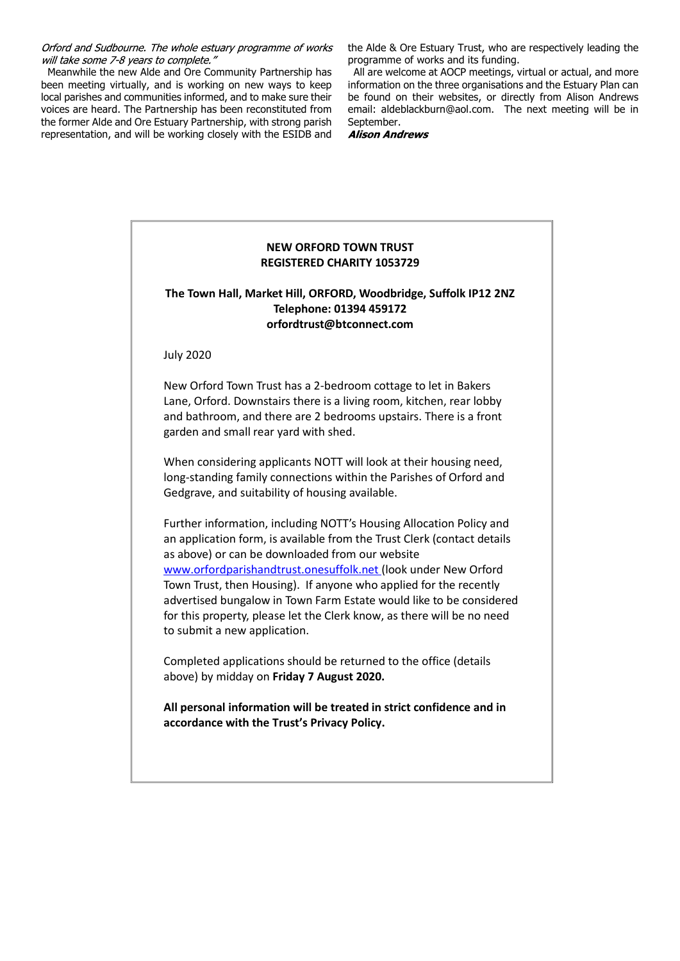Orford and Sudbourne. The whole estuary programme of works will take some 7-8 years to complete."

 Meanwhile the new Alde and Ore Community Partnership has been meeting virtually, and is working on new ways to keep local parishes and communities informed, and to make sure their voices are heard. The Partnership has been reconstituted from the former Alde and Ore Estuary Partnership, with strong parish representation, and will be working closely with the ESIDB and

the Alde & Ore Estuary Trust, who are respectively leading the programme of works and its funding.

 All are welcome at AOCP meetings, virtual or actual, and more information on the three organisations and the Estuary Plan can be found on their websites, or directly from Alison Andrews email: aldeblackburn@aol.com. The next meeting will be in September.

**Alison Andrews** 

## **NEW ORFORD TOWN TRUST REGISTERED CHARITY 1053729**

## **The Town Hall, Market Hill, ORFORD, Woodbridge, Suffolk IP12 2NZ Telephone: 01394 459172 orfordtrust@btconnect.com**

July 2020

New Orford Town Trust has a 2-bedroom cottage to let in Bakers Lane, Orford. Downstairs there is a living room, kitchen, rear lobby and bathroom, and there are 2 bedrooms upstairs. There is a front garden and small rear yard with shed.

When considering applicants NOTT will look at their housing need, long-standing family connections within the Parishes of Orford and Gedgrave, and suitability of housing available.

Further information, including NOTT's Housing Allocation Policy and an application form, is available from the Trust Clerk (contact details as above) or can be downloaded from our website www.orfordparishandtrust.onesuffolk.net (look under New Orford Town Trust, then Housing). If anyone who applied for the recently advertised bungalow in Town Farm Estate would like to be considered for this property, please let the Clerk know, as there will be no need to submit a new application.

Completed applications should be returned to the office (details above) by midday on **Friday 7 August 2020.**

**All personal information will be treated in strict confidence and in accordance with the Trust's Privacy Policy.**